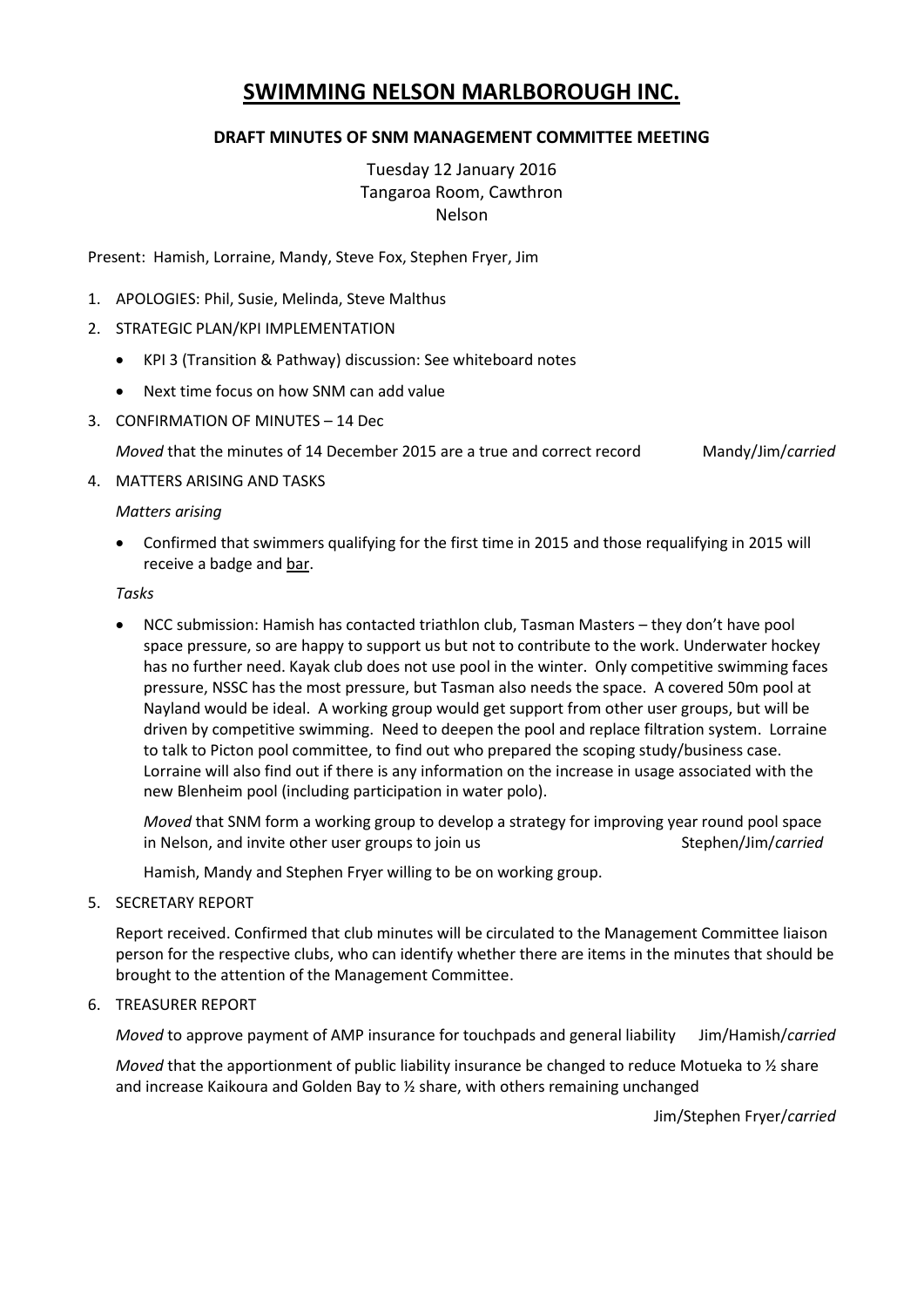# **SWIMMING NELSON MARLBOROUGH INC.**

## **DRAFT MINUTES OF SNM MANAGEMENT COMMITTEE MEETING**

Tuesday 12 January 2016 Tangaroa Room, Cawthron Nelson

Present: Hamish, Lorraine, Mandy, Steve Fox, Stephen Fryer, Jim

- 1. APOLOGIES: Phil, Susie, Melinda, Steve Malthus
- 2. STRATEGIC PLAN/KPI IMPLEMENTATION
	- KPI 3 (Transition & Pathway) discussion: See whiteboard notes
	- Next time focus on how SNM can add value
- 3. CONFIRMATION OF MINUTES 14 Dec

*Moved* that the minutes of 14 December 2015 are a true and correct record Mandy/Jim/*carried*

4. MATTERS ARISING AND TASKS

## *Matters arising*

 Confirmed that swimmers qualifying for the first time in 2015 and those requalifying in 2015 will receive a badge and bar.

#### *Tasks*

 NCC submission: Hamish has contacted triathlon club, Tasman Masters – they don't have pool space pressure, so are happy to support us but not to contribute to the work. Underwater hockey has no further need. Kayak club does not use pool in the winter. Only competitive swimming faces pressure, NSSC has the most pressure, but Tasman also needs the space. A covered 50m pool at Nayland would be ideal. A working group would get support from other user groups, but will be driven by competitive swimming. Need to deepen the pool and replace filtration system. Lorraine to talk to Picton pool committee, to find out who prepared the scoping study/business case. Lorraine will also find out if there is any information on the increase in usage associated with the new Blenheim pool (including participation in water polo).

*Moved* that SNM form a working group to develop a strategy for improving year round pool space in Nelson, and invite other user groups to join us **Stephen/Jim/***carried* Stephen/Jim/*carried* 

Hamish, Mandy and Stephen Fryer willing to be on working group.

5. SECRETARY REPORT

Report received. Confirmed that club minutes will be circulated to the Management Committee liaison person for the respective clubs, who can identify whether there are items in the minutes that should be brought to the attention of the Management Committee.

#### 6. TREASURER REPORT

*Moved* to approve payment of AMP insurance for touchpads and general liability Jim/Hamish/*carried*

*Moved* that the apportionment of public liability insurance be changed to reduce Motueka to <sup>1</sup>/<sub>2</sub> share and increase Kaikoura and Golden Bay to ½ share, with others remaining unchanged

Jim/Stephen Fryer/*carried*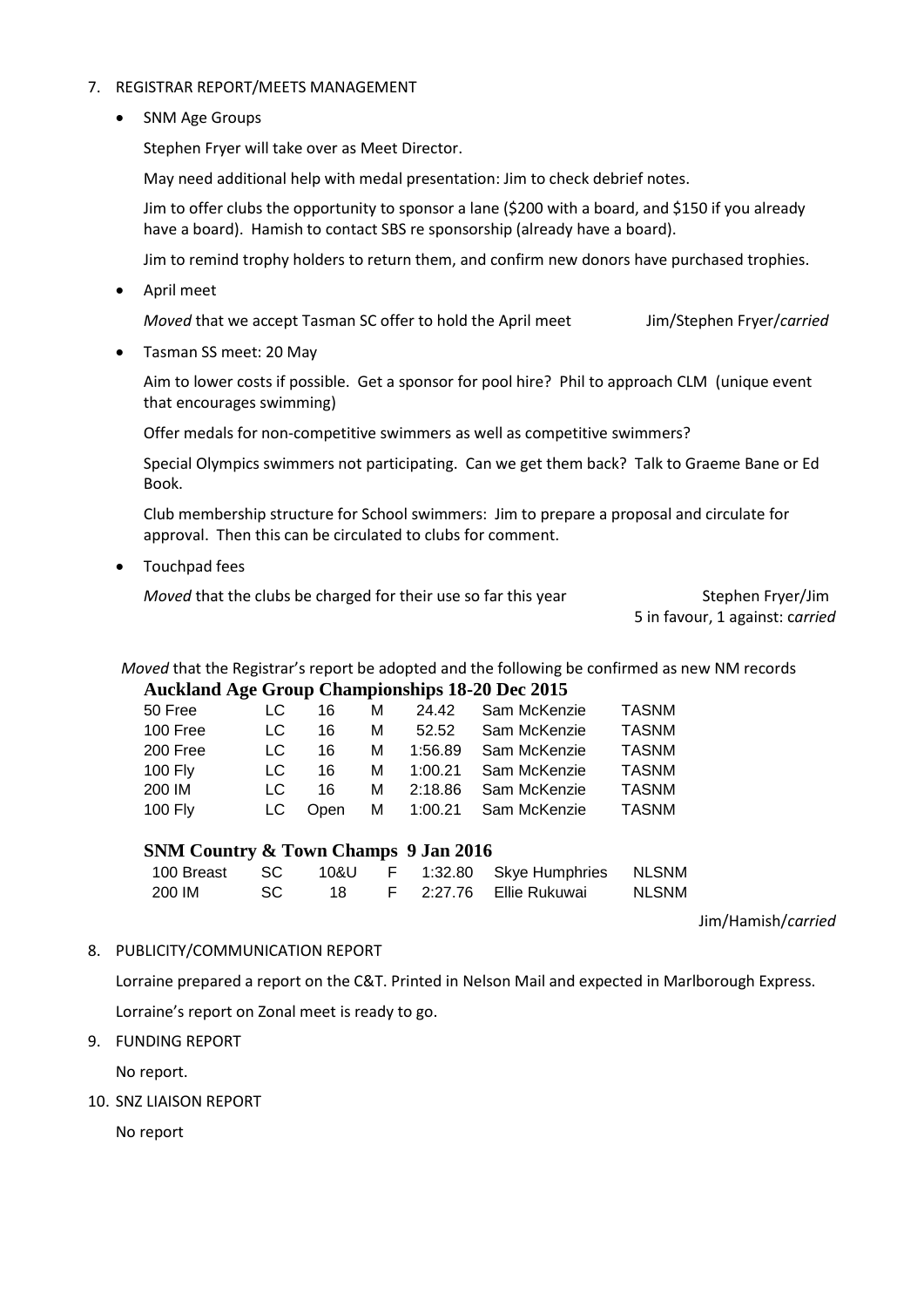#### 7. REGISTRAR REPORT/MEETS MANAGEMENT

• SNM Age Groups

Stephen Fryer will take over as Meet Director.

May need additional help with medal presentation: Jim to check debrief notes.

Jim to offer clubs the opportunity to sponsor a lane (\$200 with a board, and \$150 if you already have a board). Hamish to contact SBS re sponsorship (already have a board).

Jim to remind trophy holders to return them, and confirm new donors have purchased trophies.

April meet

*Moved* that we accept Tasman SC offer to hold the April meet Jim/Stephen Fryer/*carried*

Tasman SS meet: 20 May

Aim to lower costs if possible. Get a sponsor for pool hire? Phil to approach CLM (unique event that encourages swimming)

Offer medals for non-competitive swimmers as well as competitive swimmers?

Special Olympics swimmers not participating. Can we get them back? Talk to Graeme Bane or Ed Book.

Club membership structure for School swimmers: Jim to prepare a proposal and circulate for approval. Then this can be circulated to clubs for comment.

Touchpad fees

*Moved* that the clubs be charged for their use so far this year Stephen Fryer/Jim

5 in favour, 1 against: c*arried*

*Moved* that the Registrar's report be adopted and the following be confirmed as new NM records

#### **Auckland Age Group Championships 18-20 Dec 2015**

| 50 Free  | LC. | 16   | м | 24.42     | Sam McKenzie | <b>TASNM</b> |
|----------|-----|------|---|-----------|--------------|--------------|
| 100 Free | LC  | 16   | м | 52.52     | Sam McKenzie | <b>TASNM</b> |
| 200 Free | LC. | 16   | м | 1:56.89   | Sam McKenzie | <b>TASNM</b> |
| 100 Fly  | LC. | 16   |   | M 1:00.21 | Sam McKenzie | <b>TASNM</b> |
| 200 IM   | LC. | 16   | м | 2:18.86   | Sam McKenzie | <b>TASNM</b> |
| 100 Fly  | LC. | Open |   | M 1:00.21 | Sam McKenzie | <b>TASNM</b> |

**SNM Country & Town Champs 9 Jan 2016**

| 100 Breast SC |      | 10&U |  | F 1:32.80 Skye Humphries NLSNM |       |
|---------------|------|------|--|--------------------------------|-------|
| 200 IM        | - SC | 18.  |  | F 2:27.76 Ellie Rukuwai        | NLSNM |

Jim/Hamish/*carried*

#### 8. PUBLICITY/COMMUNICATION REPORT

Lorraine prepared a report on the C&T. Printed in Nelson Mail and expected in Marlborough Express.

Lorraine's report on Zonal meet is ready to go.

9. FUNDING REPORT

No report.

10. SNZ LIAISON REPORT

No report